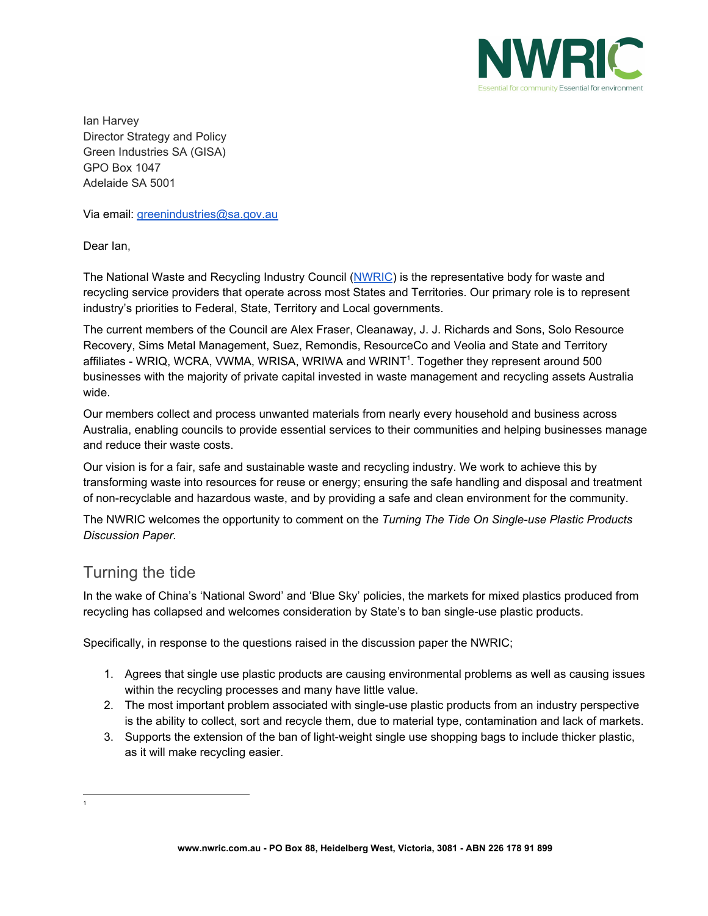

Ian Harvey Director Strategy and Policy Green Industries SA (GISA) GPO Box 1047 Adelaide SA 5001

Via email: [greenindustries@sa.gov.au](mailto:greenindustries@sa.gov.au)

Dear Ian,

The National Waste and Recycling Industry Council ([NWRIC\)](http://www.nwric.com.au/) is the representative body for waste and recycling service providers that operate across most States and Territories. Our primary role is to represent industry's priorities to Federal, State, Territory and Local governments.

The current members of the Council are Alex Fraser, Cleanaway, J. J. Richards and Sons, Solo Resource Recovery, Sims Metal Management, Suez, Remondis, ResourceCo and Veolia and State and Territory affiliates - WRIQ, WCRA, VWMA, WRISA, WRIWA and WRINT<sup>1</sup>. Together they represent around 500 businesses with the majority of private capital invested in waste management and recycling assets Australia wide.

Our members collect and process unwanted materials from nearly every household and business across Australia, enabling councils to provide essential services to their communities and helping businesses manage and reduce their waste costs.

Our vision is for a fair, safe and sustainable waste and recycling industry. We work to achieve this by transforming waste into resources for reuse or energy; ensuring the safe handling and disposal and treatment of non-recyclable and hazardous waste, and by providing a safe and clean environment for the community.

The NWRIC welcomes the opportunity to comment on the *Turning The Tide On Single-use Plastic Products Discussion Paper.*

## Turning the tide

1

In the wake of China's 'National Sword' and 'Blue Sky' policies, the markets for mixed plastics produced from recycling has collapsed and welcomes consideration by State's to ban single-use plastic products.

Specifically, in response to the questions raised in the discussion paper the NWRIC;

- 1. Agrees that single use plastic products are causing environmental problems as well as causing issues within the recycling processes and many have little value.
- 2. The most important problem associated with single-use plastic products from an industry perspective is the ability to collect, sort and recycle them, due to material type, contamination and lack of markets.
- 3. Supports the extension of the ban of light-weight single use shopping bags to include thicker plastic, as it will make recycling easier.

**www.nwric.com.au - PO Box 88, Heidelberg West, Victoria, 3081 - ABN 226 178 91 899**